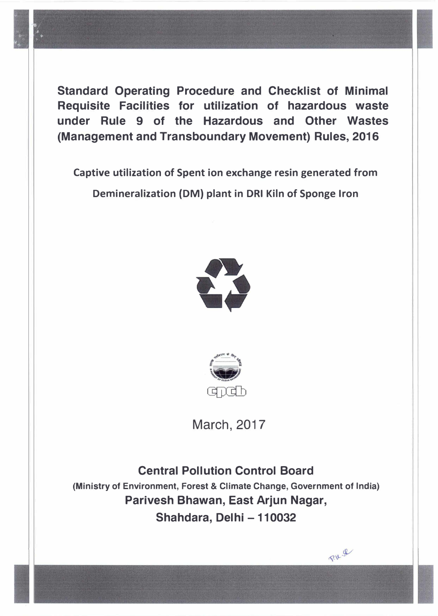**Standard Operating Procedure and Checklist of Minimal Requisite Facilities for utilization of hazardous waste under Rule 9 of the Hazardous and Other Wastes {Management and Transboundary Movement) Rules, 2016** 

**Captive utilization of Spent ion exchange resin generated from Demineralization (DM) plant in DRI Kiln of Sponge Iron** 





March, 2017

**Central Pollution Control Board (Ministry of Environment, Forest & Climate Change, Government of India) Parivesh Bhawan, East Arjun Nagar, Shahdara, Del hi - 110032** 

 $RU - B$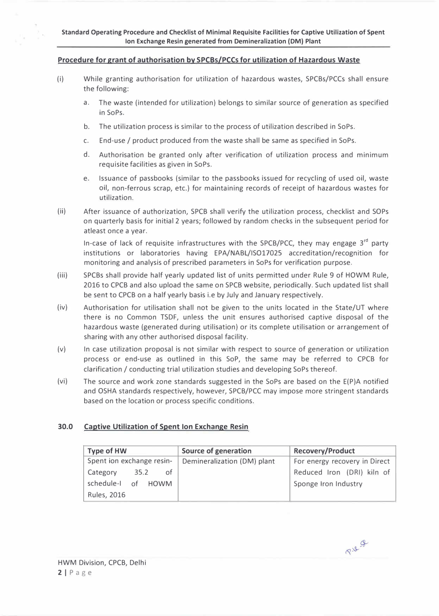## **Procedure for grant of authorisation by SPCBs/PCCs for utilization of Hazardous Waste**

- (i) While granting authorisation for utilization of hazardous wastes, SPCBs/PCCs shall ensure the following:
	- a. The waste (intended for utilization) belongs to similar source of generation as specified in SoPs.
	- b. The utilization process is similar to the process of utilization described in SoPs.
	- c. End-use / product produced from the waste shall be same as specified in SoPs.
	- d. Authorisation be granted only after verification of utilization process and minimum requisite facilities as given in SoPs.
	- e. Issuance of passbooks (similar to the passbooks issued for recycling of used oil, waste oil, non-ferrous scrap, etc.) for maintaining records of receipt of hazardous wastes for utilization.
- (ii) After issuance of authorization, SPCB shall verify the utilization process, checklist and SOPs on quarterly basis for initial 2 years; followed by random checks in the subsequent period for atleast once a year.

In-case of lack of requisite infrastructures with the SPCB/PCC, they may engage  $3^{rd}$  party institutions or laboratories having EPA/NABL/IS017025 accreditation/recognition for monitoring and analysis of prescribed parameters in SoPs for verification purpose.

- (iii) SPCBs shall provide half yearly updated list of units permitted under Rule 9 of HOWM Rule, 2016 to CPCB and also upload the same on SPCB website, periodically. Such updated list shall be sent to CPCB on a half yearly basis i.e by July and January respectively.
- (iv) Authorisation for utilisation shall not be given to the units located in the State/UT where there is no Common TSDF, unless the unit ensures authorised captive disposal of the hazardous waste (generated during utilisation) or its complete utilisation or arrangement of sharing with any other authorised disposal facility.
- (v) In case utilization proposal is not similar with respect to source of generation or utilization process or end-use as outlined in this SoP, the same may be referred to CPCB for clarification / conducting trial utilization studies and developing SoPs thereof.
- (vi) The source and work zone standards suggested in the SoPs are based on the E(P)A notified and OSHA standards respectively, however, SPCB/PCC may impose more stringent standards based on the location or process specific conditions.

# **30.0 Captive Utilization of Spent Ion Exchange Resin**

| Type of HW                | Source of generation        | <b>Recovery/Product</b>       |
|---------------------------|-----------------------------|-------------------------------|
| Spent ion exchange resin- | Demineralization (DM) plant | For energy recovery in Direct |
| Category<br>35.2<br>of    |                             | Reduced Iron (DRI) kiln of    |
| schedule-1 of HOWM        |                             | Sponge Iron Industry          |
| <b>Rules, 2016</b>        |                             |                               |

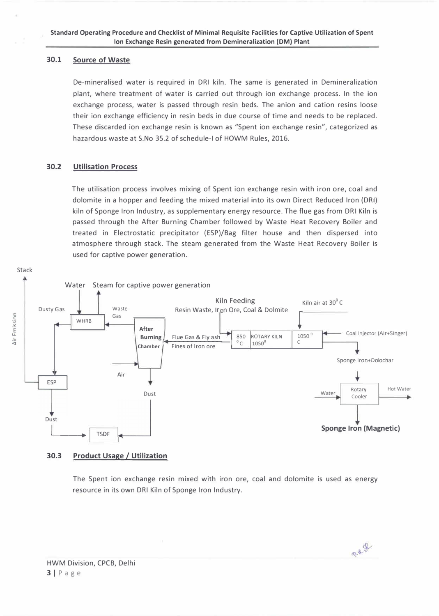### **30.1 Source of Waste**

**De-mineralised water is required in ORI kiln. The same is generated in Demineralization plant, where treatment of water is carried out through ion exchange process. In the ion exchange process, water is passed through resin beds. The anion and cation resins loose their ion exchange efficiency in resin beds in due course of time and needs to be replaced. These discarded ion exchange resin is known as "Spent ion exchange resin", categorized as hazardous waste at S.No 35.2 of schedule-I of HOWM Rules, 2016.** 

### **30.2 Utilisation Process**

**The utilisation process involves mixing of Spent ion exchange resin with iron ore, coal and dolomite in a hopper and feeding the mixed material into its own Direct Reduced Iron (ORI) kiln of Sponge Iron Industry, as supplementary energy resource. The flue gas from ORI Kiln is passed through the After Burning Chamber followed by Waste Heat Recovery Boiler and treated in Electrostatic precipitator (ESP)/Bag filter house and then dispersed into atmosphere through stack. The steam generated from the Waste Heat Recovery Boiler is used for captive power generation.** 



## **30.3 Product Usage / Utilization**

**The Spent ion exchange resin mixed with iron ore, coal and dolomite is used as energy resource in its own ORI Kiln of Sponge Iron Industry.** 

P.R. 8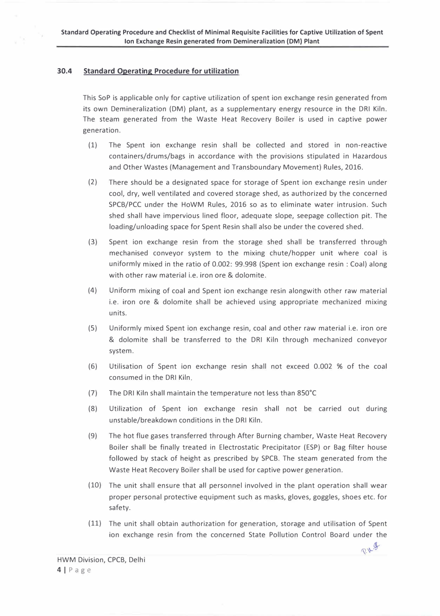## **30.4 Standard Operating Procedure for utilization**

This SoP is applicable only for captive utilization of spent ion exchange resin generated from its own Demineralization (DM) plant, as a supplementary energy resource in the DRI Kiln. The steam generated from the Waste Heat Recovery Boiler is used in captive power generation.

- (1) The Spent ion exchange resin shall be collected and stored in non-reactive containers/drums/bags in accordance with the provisions stipulated in Hazardous and Other Wastes (Management and Transboundary Movement) Rules, 2016.
- (2) There should be a designated space for storage of Spent ion exchange resin under cool, dry, well ventilated and covered storage shed, as authorized by the concerned SPCB/PCC under the HoWM Rules, 2016 so as to eliminate water intrusion. Such shed shall have impervious lined floor, adequate slope, seepage collection pit. The loading/unloading space for Spent Resin shall also be under the covered shed.
- (3) Spent ion exchange resin from the storage shed shall be transferred through mechanised conveyor system to the mixing chute/hopper unit where coal is uniformly mixed in the ratio of 0.002: 99.998 (Spent ion exchange resin : Coal) along with other raw material i.e. iron ore & dolomite.
- (4) Uniform mixing of coal and Spent ion exchange resin alongwith other raw material i.e. iron ore & dolomite shall be achieved using appropriate mechanized mixing units.
- (5) Uniformly mixed Spent ion exchange resin, coal and other raw material i.e. iron ore & dolomite shall be transferred to the DRI Kiln through mechanized conveyor system.
- (6) Utilisation of Spent ion exchange resin shall not exceed 0.002 % of the coal consumed in the DRI Kiln.
- (7) The DRI Kiln shall maintain the temperature not less than 8S0° C
- (8) Utilization of Spent ion exchange resin shall not be carried out during unstable/breakdown conditions in the DRI Kiln.
- (9) The hot flue gases transferred through After Burning chamber, Waste Heat Recovery Boiler shall be finally treated in Electrostatic Precipitator (ESP) or Bag filter house followed by stack of height as prescribed by SPCB. The steam generated from the Waste Heat Recovery Boiler shall be used for captive power generation.
- (10) The unit shall ensure that all personnel involved in the plant operation shall wear proper personal protective equipment such as masks, gloves, goggles, shoes etc. for safety.
- (11) The unit shall obtain authorization for generation, storage and utilisation of Spent ion exchange resin from the concerned State Pollution Control Board under the

 $RV.9$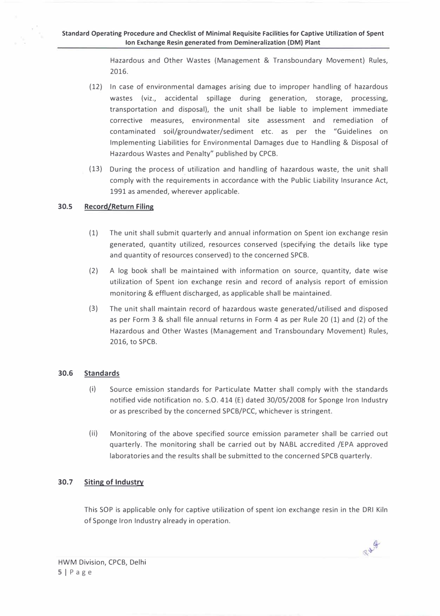**Hazardous and Other Wastes (Management & Transboundary Movement) Rules, 2016.** 

- **(12) In case of environmental damages arising due to improper handling of hazardous wastes (viz., accidental spillage during generation, storage, processing, transportation and disposal), the unit shall be liable to implement immediate corrective measures, environmental site assessment and remediation of contaminated soil/groundwater/sediment etc. as per the "Guidelines on Implementing Liabilities for Environmental Damages due to Handling & Disposal of Hazardous Wastes and Penalty" published by CPCB.**
- **(13) During the process of utilization and handling of hazardous waste, the unit shall comply with the requirements in accordance with the Public Liability Insurance Act, 1991 as amended, wherever applicable.**

#### **30.5 Record/Return Filing**

- **(1) The unit shall submit quarterly and annual information on Spent ion exchange resin generated, quantity utilized, resources conserved (specifying the details like type and quantity of resources conserved) to the concerned SPCB.**
- **(2) A log book shall be maintained with information on source, quantity, date wise utilization of Spent ion exchange resin and record of analysis report of emission monitoring & effluent discharged, as applicable shall be maintained.**
- **(3) The unit shall maintain record of hazardous waste generated/utilised and disposed as per Form 3 & shall file annual returns in Form 4 as per Rule 20 (1) and (2) of the Hazardous and Other Wastes (Management and Transboundary Movement) Rules, 2016, to SPCB.**

# **30.6 Standards**

- **(i) Source emission standards for Particulate Matter shall comply with the standards notified vide notification no. 5.0. 414 (E) dated 30/05/2008 for Sponge Iron Industry or as prescribed by the concerned SPCB/PCC, whichever is stringent.**
- **(ii) Monitoring of the above specified source emission parameter shall be carried out quarterly. The monitoring shall be carried out by NABL accredited /EPA approved laboratories and the results shall be submitted to the concerned SPCB quarterly.**

# **30. 7 Siting of Industry**

**This SOP is applicable only for captive utilization of spent ion exchange resin in the DRI Kiln of Sponge Iron Industry already in operation.** 

RILA